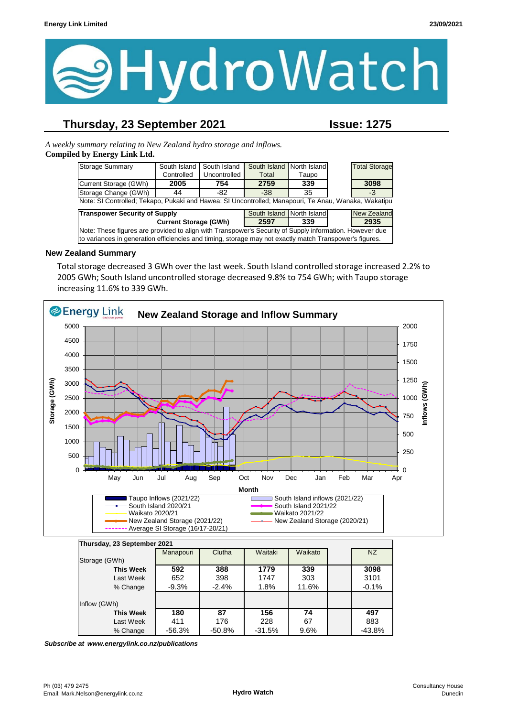

## **Thursday, 23 September 2021 Issue: 1275**

*A weekly summary relating to New Zealand hydro storage and inflows.*  **Compiled by Energy Link Ltd.**

| Storage Summary                                                                                         | South Island | South Island | South Island              | North Island |  | <b>Total Storage</b> |
|---------------------------------------------------------------------------------------------------------|--------------|--------------|---------------------------|--------------|--|----------------------|
|                                                                                                         | Controlled   | Uncontrolled | Total                     | Taupo        |  |                      |
| Current Storage (GWh)                                                                                   | 2005         | 754          | 2759                      | 339          |  | 3098                 |
| Storage Change (GWh)                                                                                    | 44           | -82          | $-38$                     | 35           |  | -3                   |
| Note: SI Controlled; Tekapo, Pukaki and Hawea: SI Uncontrolled; Manapouri, Te Anau, Wanaka, Wakatipu    |              |              |                           |              |  |                      |
| <b>Transpower Security of Supply</b>                                                                    |              |              | South Island North Island |              |  | <b>New Zealand</b>   |
| <b>Current Storage (GWh)</b>                                                                            |              |              | 2597                      | 339          |  | 2935                 |
| Note: These figures are provided to align with Transpower's Security of Supply information. However due |              |              |                           |              |  |                      |
| to variances in generation efficiencies and timing, storage may not exactly match Transpower's figures. |              |              |                           |              |  |                      |

#### **New Zealand Summary**

Total storage decreased 3 GWh over the last week. South Island controlled storage increased 2.2% to 2005 GWh; South Island uncontrolled storage decreased 9.8% to 754 GWh; with Taupo storage increasing 11.6% to 339 GWh.



| Storage (GWh) |                  |          |          |          |       |          |
|---------------|------------------|----------|----------|----------|-------|----------|
|               | <b>This Week</b> | 592      | 388      | 1779     | 339   | 3098     |
|               | Last Week        | 652      | 398      | 1747     | 303   | 3101     |
|               | % Change         | $-9.3%$  | $-2.4%$  | 1.8%     | 11.6% | $-0.1%$  |
|               |                  |          |          |          |       |          |
| Inflow (GWh)  |                  |          |          |          |       |          |
|               | <b>This Week</b> | 180      | 87       | 156      | 74    | 497      |
|               | Last Week        | 411      | 176      | 228      | 67    | 883      |
|               | % Change         | $-56.3%$ | $-50.8%$ | $-31.5%$ | 9.6%  | $-43.8%$ |

*Subscribe at www.energylink.co.nz/publications*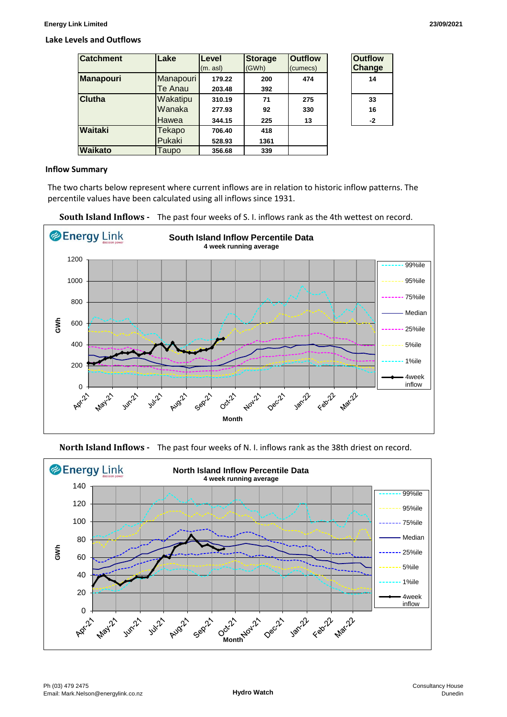#### **Lake Levels and Outflows**

| <b>Catchment</b> | Lake                        | Level<br>(m. as)           | <b>Storage</b><br>(GWh) | <b>Outflow</b><br>(cumecs) | <b>Outflow</b><br><b>Change</b> |
|------------------|-----------------------------|----------------------------|-------------------------|----------------------------|---------------------------------|
| <b>Manapouri</b> | Manapouri<br>Te Anau        | 179.22<br>203.48           | 200<br>392              | 474                        | 14                              |
| <b>Clutha</b>    | Wakatipu<br>Wanaka<br>Hawea | 310.19<br>277.93<br>344.15 | 71<br>92<br>225         | 275<br>330<br>13           | 33<br>16<br>$-2$                |
| <b>Waitaki</b>   | Tekapo<br>Pukaki            | 706.40<br>528.93           | 418<br>1361             |                            |                                 |
| <b>Waikato</b>   | Taupo                       | 356.68                     | 339                     |                            |                                 |

| <b>Outflow</b><br><b>Change</b> |
|---------------------------------|
| 14                              |
| 33                              |
| 16                              |
| -2                              |

#### **Inflow Summary**

The two charts below represent where current inflows are in relation to historic inflow patterns. The percentile values have been calculated using all inflows since 1931.





**North Island Inflows -** The past four weeks of N. I. inflows rank as the 38th driest on record.

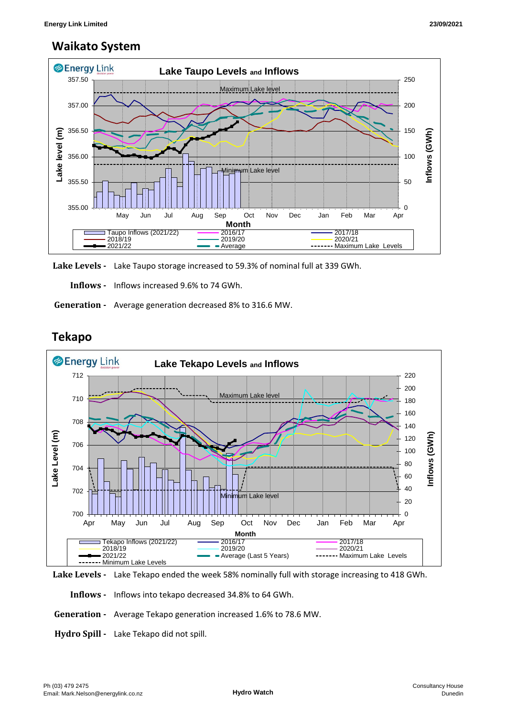## **Waikato System**



**Lake Levels -** Lake Taupo storage increased to 59.3% of nominal full at 339 GWh.

 **Inflows -** Inflows increased 9.6% to 74 GWh.

 **Generation -** Average generation decreased 8% to 316.6 MW.

# **Tekapo**





 **Inflows -** Inflows into tekapo decreased 34.8% to 64 GWh.

- **Generation** Average Tekapo generation increased 1.6% to 78.6 MW.
- **Hydro Spill** Lake Tekapo did not spill.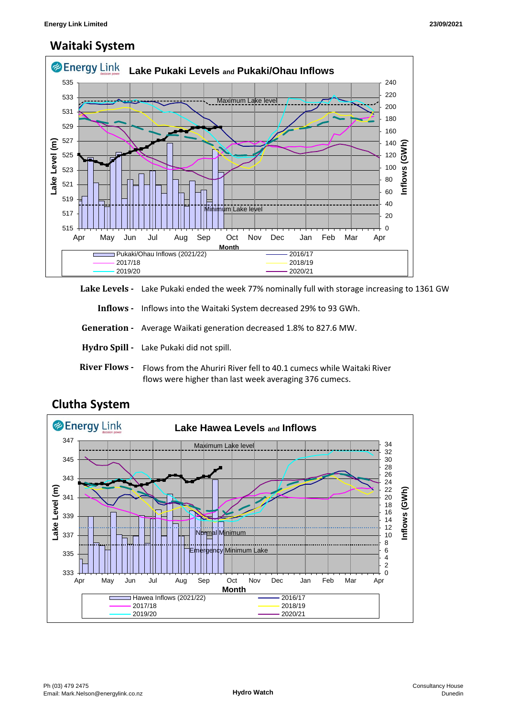# **Waitaki System**



Lake Levels - Lake Pukaki ended the week 77% nominally full with storage increasing to 1361 GW

 **Inflows -** Inflows into the Waitaki System decreased 29% to 93 GWh.

 **Generation -** Average Waikati generation decreased 1.8% to 827.6 MW.

**Hydro Spill -** Lake Pukaki did not spill.

**River Flows -**  Flows from the Ahuriri River fell to 40.1 cumecs while Waitaki River flows were higher than last week averaging 376 cumecs.



## **Clutha System**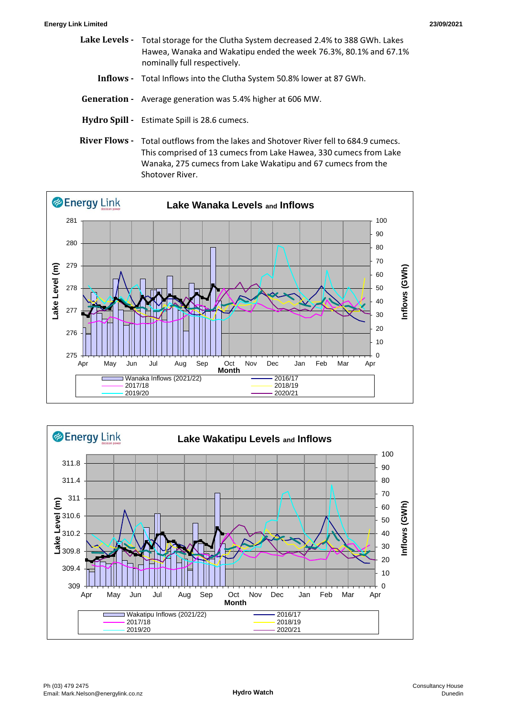- **Lake Levels**  Total storage for the Clutha System decreased 2.4% to 388 GWh. Lakes Hawea, Wanaka and Wakatipu ended the week 76.3%, 80.1% and 67.1% nominally full respectively.
	- **Inflows** Total Inflows into the Clutha System 50.8% lower at 87 GWh.
- **Generation** Average generation was 5.4% higher at 606 MW.
- **Hydro Spill** Estimate Spill is 28.6 cumecs.
- **River Flows**  Total outflows from the lakes and Shotover River fell to 684.9 cumecs. This comprised of 13 cumecs from Lake Hawea, 330 cumecs from Lake Wanaka, 275 cumecs from Lake Wakatipu and 67 cumecs from the Shotover River.